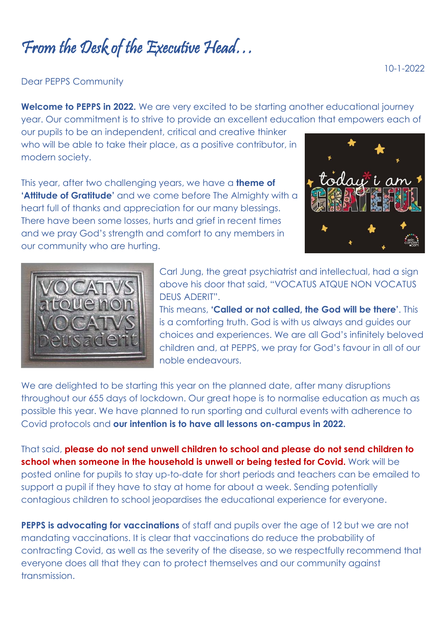From the Desk of the Executive Head…

Dear PEPPS Community

**Welcome to PEPPS in 2022.** We are very excited to be starting another educational journey year. Our commitment is to strive to provide an excellent education that empowers each of

our pupils to be an independent, critical and creative thinker who will be able to take their place, as a positive contributor, in modern society.

This year, after two challenging years, we have a **theme of 'Attitude of Gratitude'** and we come before The Almighty with a heart full of thanks and appreciation for our many blessings. There have been some losses, hurts and grief in recent times and we pray God's strength and comfort to any members in our community who are hurting.





Carl Jung, the great psychiatrist and intellectual, had a sign above his door that said, "VOCATUS ATQUE NON VOCATUS DEUS ADERIT".

This means, **'Called or not called, the God will be there'**. This is a comforting truth. God is with us always and guides our choices and experiences. We are all God's infinitely beloved children and, at PEPPS, we pray for God's favour in all of our noble endeavours.

We are delighted to be starting this year on the planned date, after many disruptions throughout our 655 days of lockdown. Our great hope is to normalise education as much as possible this year. We have planned to run sporting and cultural events with adherence to Covid protocols and **our intention is to have all lessons on-campus in 2022.** 

That said, **please do not send unwell children to school and please do not send children to school when someone in the household is unwell or being tested for Covid.** Work will be posted online for pupils to stay up-to-date for short periods and teachers can be emailed to support a pupil if they have to stay at home for about a week. Sending potentially contagious children to school jeopardises the educational experience for everyone.

**PEPPS is advocating for vaccinations** of staff and pupils over the age of 12 but we are not mandating vaccinations. It is clear that vaccinations do reduce the probability of contracting Covid, as well as the severity of the disease, so we respectfully recommend that everyone does all that they can to protect themselves and our community against transmission.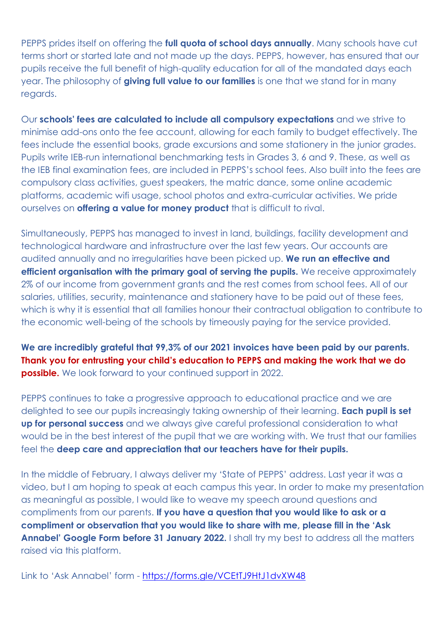PEPPS prides itself on offering the **full quota of school days annually**. Many schools have cut terms short or started late and not made up the days. PEPPS, however, has ensured that our pupils receive the full benefit of high-quality education for all of the mandated days each year. The philosophy of **giving full value to our families** is one that we stand for in many regards.

Our **schools' fees are calculated to include all compulsory expectations** and we strive to minimise add-ons onto the fee account, allowing for each family to budget effectively. The fees include the essential books, grade excursions and some stationery in the junior grades. Pupils write IEB-run international benchmarking tests in Grades 3, 6 and 9. These, as well as the IEB final examination fees, are included in PEPPS's school fees. Also built into the fees are compulsory class activities, guest speakers, the matric dance, some online academic platforms, academic wifi usage, school photos and extra-curricular activities. We pride ourselves on **offering a value for money product** that is difficult to rival.

Simultaneously, PEPPS has managed to invest in land, buildings, facility development and technological hardware and infrastructure over the last few years. Our accounts are audited annually and no irregularities have been picked up. **We run an effective and efficient organisation with the primary goal of serving the pupils.** We receive approximately 2% of our income from government grants and the rest comes from school fees. All of our salaries, utilities, security, maintenance and stationery have to be paid out of these fees, which is why it is essential that all families honour their contractual obligation to contribute to the economic well-being of the schools by timeously paying for the service provided.

**We are incredibly grateful that 99,3% of our 2021 invoices have been paid by our parents. Thank you for entrusting your child's education to PEPPS and making the work that we do possible.** We look forward to your continued support in 2022.

PEPPS continues to take a progressive approach to educational practice and we are delighted to see our pupils increasingly taking ownership of their learning. **Each pupil is set up for personal success** and we always give careful professional consideration to what would be in the best interest of the pupil that we are working with. We trust that our families feel the **deep care and appreciation that our teachers have for their pupils.**

In the middle of February, I always deliver my 'State of PEPPS' address. Last year it was a video, but I am hoping to speak at each campus this year. In order to make my presentation as meaningful as possible, I would like to weave my speech around questions and compliments from our parents. **If you have a question that you would like to ask or a compliment or observation that you would like to share with me, please fill in the 'Ask Annabel' Google Form before 31 January 2022.** I shall try my best to address all the matters raised via this platform.

Link to 'Ask Annabel' form - <https://forms.gle/VCEtTJ9HtJ1dvXW48>